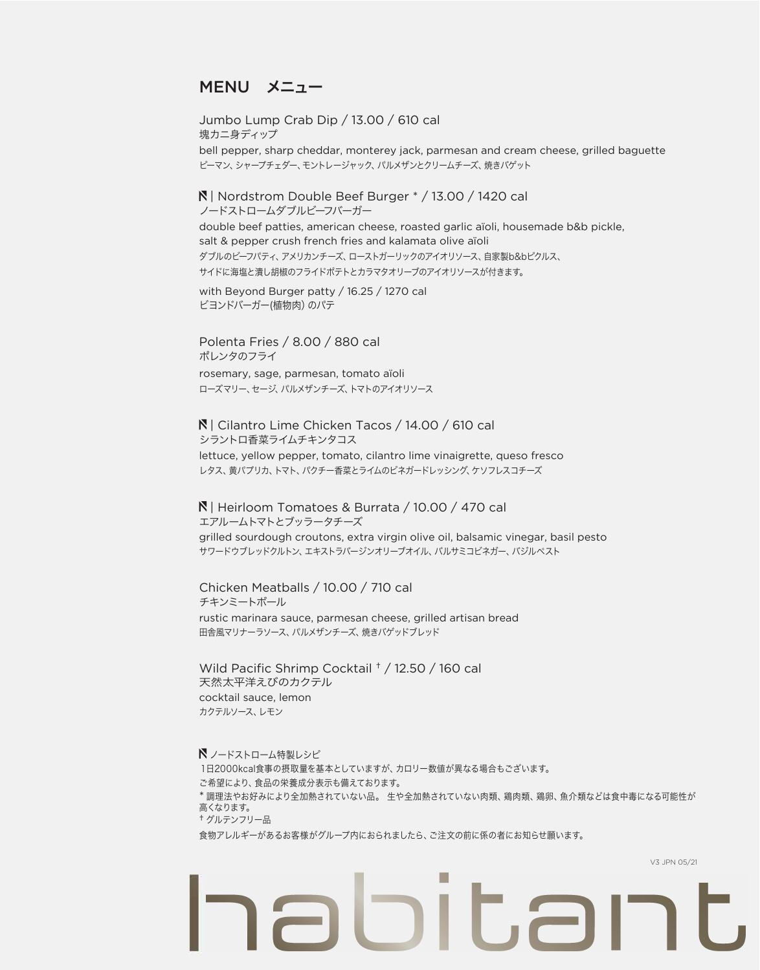## MENU メニュー

Jumbo Lump Crab Dip / 13.00 / 610 cal 塊カニ身ディップ bell pepper, sharp cheddar, monterey jack, parmesan and cream cheese, grilled baguette ピーマン、シャープチェダー、モントレージャック、パルメザンとクリームチーズ、焼きバゲット

 | Nordstrom Double Beef Burger \* / 13.00 / 1420 cal ノードストロームダブルビーフバーガー double beef patties, american cheese, roasted garlic aïoli, housemade b&b pickle, salt & pepper crush french fries and kalamata olive aïoli ダブルのビーフパティ、アメリカンチーズ、ローストガーリックのアイオリソース、自家製b&bピクルス、 サイドに海塩と潰し胡椒のフライドポテトとカラマタオリーブのアイオリソースが付きます。

with Beyond Burger patty / 16.25 / 1270 cal ビヨンドバーガー(植物肉)のパテ

Polenta Fries / 8.00 / 880 cal ポレンタのフライ rosemary, sage, parmesan, tomato aïoli ローズマリー、セージ、パルメザンチーズ、トマトのアイオリソース

 | Cilantro Lime Chicken Tacos / 14.00 / 610 cal シラントロ香菜ライムチキンタコス lettuce, yellow pepper, tomato, cilantro lime vinaigrette, queso fresco レタス、黄パプリカ、トマト、パクチー香菜とライムのビネガードレッシング、ケソフレスコチーズ

 | Heirloom Tomatoes & Burrata / 10.00 / 470 cal エアルームトマトとブッラータチーズ grilled sourdough croutons, extra virgin olive oil, balsamic vinegar, basil pesto サワードウブレッドクルトン、エキストラバージンオリーブオイル、バルサミコビネガー、バジルペスト

Chicken Meatballs / 10.00 / 710 cal チキンミートボール rustic marinara sauce, parmesan cheese, grilled artisan bread 田舎風マリナーラソース、パルメザンチーズ、焼きバゲッドブレッド

Wild Pacific Shrimp Cocktail † / 12.50 / 160 cal 天然太平洋えびのカクテル cocktail sauce, lemon カクテルソース、レモン

■ ノードストローム特製レシピ 1日2000kcal食事の摂取量を基本としていますが、カロリー数値が異なる場合もございます。 ご希望により、食品の栄養成分表示も備えております。 \* 調理法やお好みにより全加熱されていない品。 生や全加熱されていない肉類、鶏肉類、鶏卵、魚介類などは食中毒になる可能性が 高くなります。 † グルテンフリー品 食物アレルギーがあるお客様がグループ内におられましたら、ご注文の前に係の者にお知らせ願います。

 $11.7$ 

V3 JPN 05/21